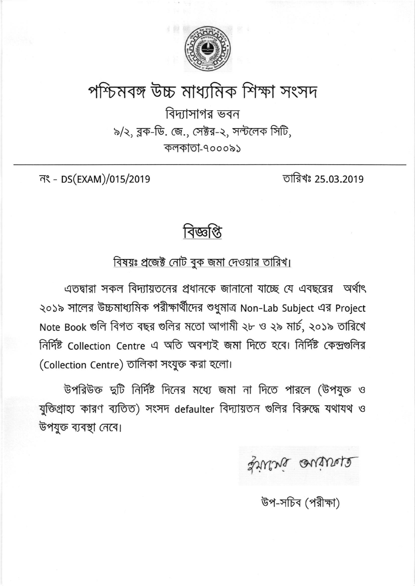

## পশ্চিমবঙ্গ উচ্চ মাধ্যমিক শিক্ষা সংসদ

বিদ্যাসাগর ভবন ৯/২, ব্লক-ডি. জে., সেক্টর-২, সল্টলেক সিটি, কলকাতা-৭০০০৯১

নং - DS(EXAM)/015/2019

তারিখঃ 25.03.2019

বিজ্ঞাপ্ত

বিষয়ঃ প্রজেক্ট নোট বুক জমা দেওয়ার তারিখ।

এতদ্বারা সকল বিদ্যায়তনের প্রধানকে জানানো যাচ্ছে যে এবছরের অর্থাৎ ২০১৯ সালের উচ্চমাধ্যমিক পরীক্ষার্থীদের শুধুমাত্র Non-Lab Subject এর Project Note Book গুলি বিগত বছর গুলির মতো আগামী ২৮ ও ২৯ মার্চ, ২০১৯ তারিখে নিৰ্দিষ্ট Collection Centre এ অতি অবশ্যই জমা দিতে হবে। নিৰ্দিষ্ট কেন্দ্ৰগুলির (Collection Centre) তালিকা সংযুক্ত করা হলো।

উপরিউক্ত দ্বটি নির্দিষ্ট দিনের মধ্যে জমা না দিতে পারলে (উপযুক্ত ও যুক্তিগ্রাহ্য কারণ ব্যতিত) সংসদ defaulter বিদ্যায়তন গুলির বিরুদ্ধে যথাযথ ও উপযুক্ত ব্যবস্থা নেবে।

gruns anivers

উপ-সচিব (পরীক্ষা)